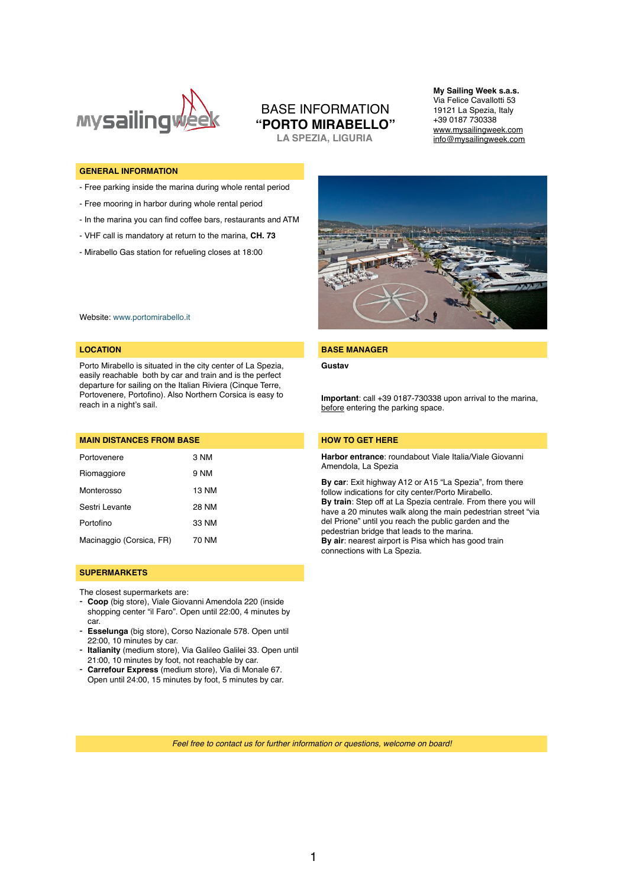

# BASE INFORMATION **"PORTO MIRABELLO"**

**LA SPEZIA, LIGURIA**

**My Sailing Week s.a.s.** Via Felice Cavallotti 53 19121 La Spezia, Italy +39 0187 730338 [www.mysailingweek.com](http://www.mysailingweek.com)  [info@mysailingweek.com](mailto:info@mysailingweek.com)

#### **GENERAL INFORMATION**

- Free parking inside the marina during whole rental period
- Free mooring in harbor during whole rental period
- In the marina you can find coffee bars, restaurants and ATM
- VHF call is mandatory at return to the marina, **CH. 73**
- Mirabello Gas station for refueling closes at 18:00



Website: [www.portomirabello.it](http://www.portomirabello.it)

Porto Mirabello is situated in the city center of La Spezia, easily reachable both by car and train and is the perfect departure for sailing on the Italian Riviera (Cinque Terre, Portovenere, Portofino). Also Northern Corsica is easy to reach in a night's sail.

| <b>MAIN DISTANCES FROM BASE</b> |       |
|---------------------------------|-------|
| Portovenere                     | 3 NM  |
| Riomaggiore                     | 9 NM  |
| Monterosso                      | 13 NM |
| Sestri Levante                  | 28 NM |
| Portofino                       | 33 NM |
| Macinaggio (Corsica, FR)        | 70 NM |

#### **SUPERMARKETS**

The closest supermarkets are:

- **Coop** (big store), Viale Giovanni Amendola 220 (inside shopping center "il Faro". Open until 22:00, 4 minutes by car.
- **Esselunga** (big store), Corso Nazionale 578. Open until 22:00, 10 minutes by car.
- **Italianity** (medium store), Via Galileo Galilei 33. Open until 21:00, 10 minutes by foot, not reachable by car.
- **Carrefour Express** (medium store), Via di Monale 67. Open until 24:00, 15 minutes by foot, 5 minutes by car.

#### **LOCATION BASE MANAGER**

**Gustav**

**Important**: call +39 0187-730338 upon arrival to the marina, before entering the parking space.

#### **HOW TO GET HERE**

**Harbor entrance**: roundabout Viale Italia/Viale Giovanni Amendola, La Spezia

**By car**: Exit highway A12 or A15 "La Spezia", from there follow indications for city center/Porto Mirabello. **By train**: Step off at La Spezia centrale. From there you will have a 20 minutes walk along the main pedestrian street "via del Prione" until you reach the public garden and the pedestrian bridge that leads to the marina. **By air:** nearest airport is Pisa which has good train connections with La Spezia.

*Feel free to contact us for further information or questions, welcome on board!*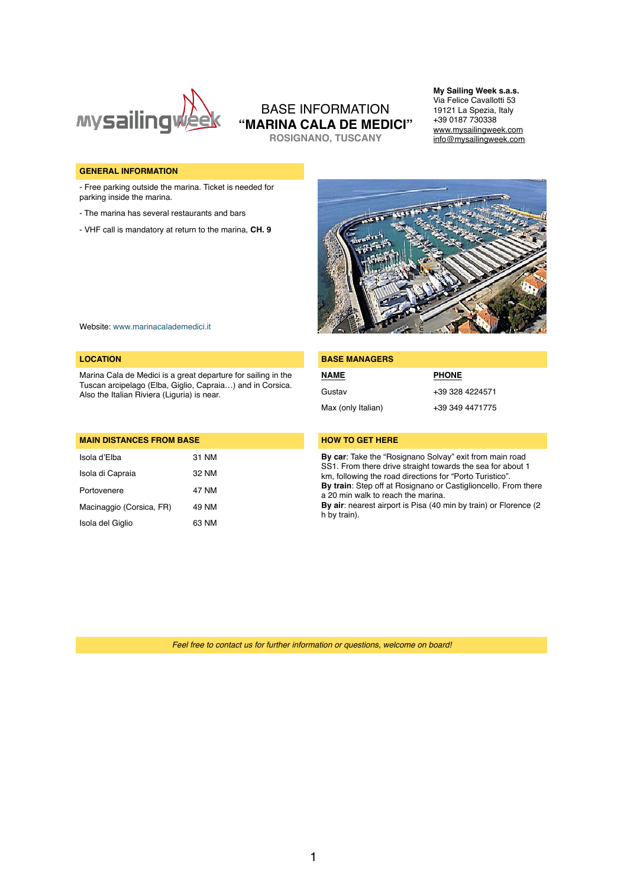

## BASE INFORMATION **"MARINA CALA DE MEDICI" ROSIGNANO, TUSCANY**

19121 La Spezia, Italy +39 0187 730338 [www.mysailingweek.com](http://www.mysailingweek.com)  [info@mysailingweek.com](mailto:info@mysailingweek.com)

**My Sailing Week s.a.s.** Via Felice Cavallotti 53

#### **GENERAL INFORMATION**

- Free parking outside the marina. Ticket is needed for parking inside the marina.

- The marina has several restaurants and bars
- VHF call is mandatory at return to the marina, **CH. 9**



Website: [www.marinacalademedici.it](http://www.marinacalademedici.it)

#### **LOCATION**

Marina Cala de Medici is a great departure for sailing in the Tuscan arcipelago (Elba, Giglio, Capraia…) and in Corsica. Also the Italian Riviera (Liguria) is near.

| <b>MAIN DISTANCES FROM BASE</b> |       |  |
|---------------------------------|-------|--|
| Isola d'Elba                    | 31 NM |  |
| Isola di Capraia                | 32 NM |  |
| Portovenere                     | 47 NM |  |
| Macinaggio (Corsica, FR)        | 49 NM |  |
| Isola del Giglio                | 63 NM |  |

| <b>BASE MANAGERS</b> |                 |  |
|----------------------|-----------------|--|
| <b>NAME</b>          | <b>PHONE</b>    |  |
| Gustav               | +39 328 4224571 |  |
| Max (only Italian)   | +39 349 4471775 |  |
|                      |                 |  |

### **HOW TO GET HERE**

**By car**: Take the "Rosignano Solvay" exit from main road SS1. From there drive straight towards the sea for about 1 km, following the road directions for "Porto Turistico". **By train**: Step off at Rosignano or Castiglioncello. From there a 20 min walk to reach the marina.

**By air**: nearest airport is Pisa (40 min by train) or Florence (2 h by train).

*Feel free to contact us for further information or questions, welcome on board!*